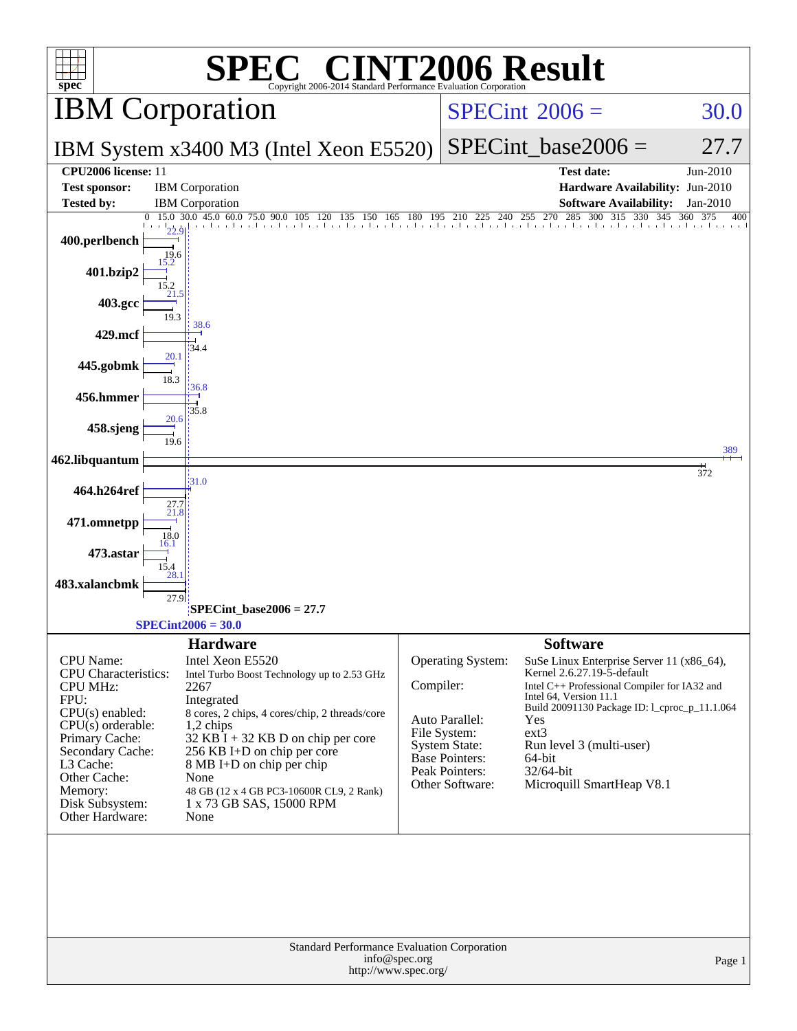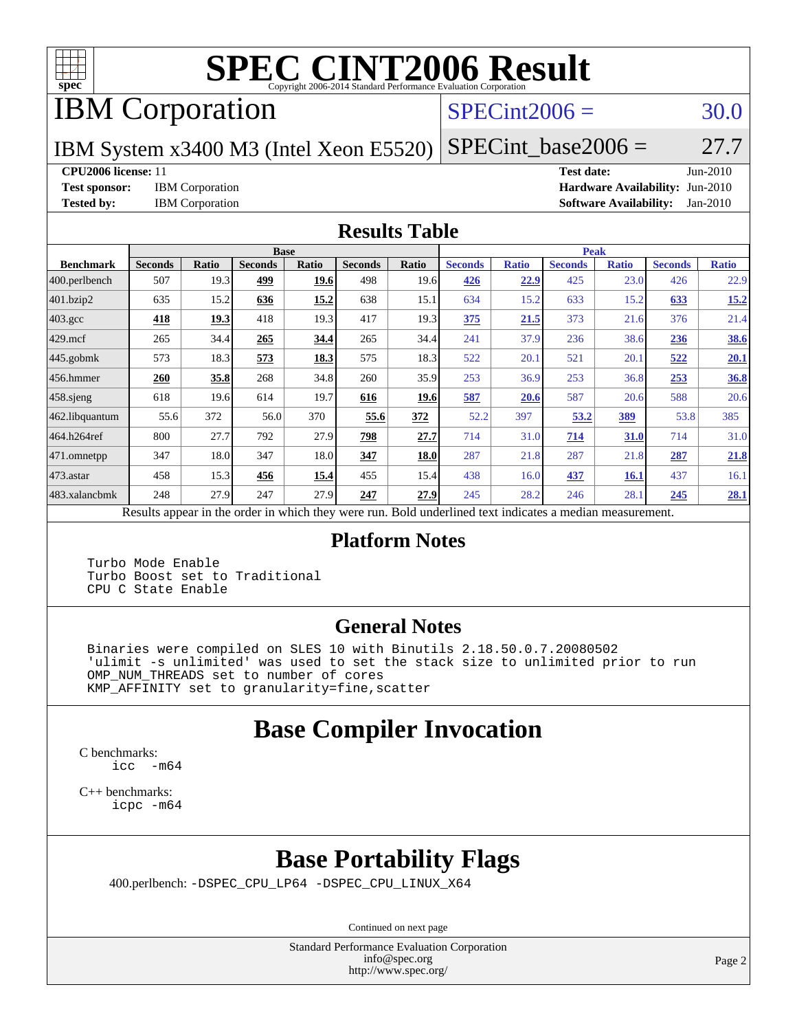

# **[SPEC CINT2006 Result](http://www.spec.org/auto/cpu2006/Docs/result-fields.html#SPECCINT2006Result)**

IBM Corporation

### $SPECint2006 = 30.0$  $SPECint2006 = 30.0$

IBM System x3400 M3 (Intel Xeon E5520)

 $SPECTnt\_base2006 = 27.7$ 

### **[CPU2006 license:](http://www.spec.org/auto/cpu2006/Docs/result-fields.html#CPU2006license)** 11 **[Test date:](http://www.spec.org/auto/cpu2006/Docs/result-fields.html#Testdate)** Jun-2010

**[Test sponsor:](http://www.spec.org/auto/cpu2006/Docs/result-fields.html#Testsponsor)** IBM Corporation **[Hardware Availability:](http://www.spec.org/auto/cpu2006/Docs/result-fields.html#HardwareAvailability)** Jun-2010 **[Tested by:](http://www.spec.org/auto/cpu2006/Docs/result-fields.html#Testedby)** IBM Corporation **[Software Availability:](http://www.spec.org/auto/cpu2006/Docs/result-fields.html#SoftwareAvailability)** Jan-2010

### **[Results Table](http://www.spec.org/auto/cpu2006/Docs/result-fields.html#ResultsTable)**

|                  |                |              | <b>Base</b>    |       |                                                                                                          |       |                |              | <b>Peak</b>    |              |                |              |
|------------------|----------------|--------------|----------------|-------|----------------------------------------------------------------------------------------------------------|-------|----------------|--------------|----------------|--------------|----------------|--------------|
| <b>Benchmark</b> | <b>Seconds</b> | <b>Ratio</b> | <b>Seconds</b> | Ratio | <b>Seconds</b>                                                                                           | Ratio | <b>Seconds</b> | <b>Ratio</b> | <b>Seconds</b> | <b>Ratio</b> | <b>Seconds</b> | <b>Ratio</b> |
| 400.perlbench    | 507            | 19.3         | 499            | 19.6  | 498                                                                                                      | 19.6  | 426            | 22.9         | 425            | 23.0         | 426            | 22.9         |
| 401.bzip2        | 635            | 15.2         | 636            | 15.2  | 638                                                                                                      | 15.1  | 634            | 15.2         | 633            | 15.2         | 633            | 15.2         |
| $403.\text{gcc}$ | 418            | 19.3         | 418            | 19.3  | 417                                                                                                      | 19.3  | 375            | 21.5         | 373            | 21.6         | 376            | 21.4         |
| $429$ mcf        | 265            | 34.4         | 265            | 34.4  | 265                                                                                                      | 34.4  | 241            | 37.9         | 236            | 38.6         | 236            | <b>38.6</b>  |
| $445$ .gobmk     | 573            | 18.3         | 573            | 18.3  | 575                                                                                                      | 18.3  | 522            | 20.1         | 521            | 20.1         | 522            | 20.1         |
| $456.$ hmmer     | 260            | 35.8         | 268            | 34.8  | 260                                                                                                      | 35.9  | 253            | 36.9         | 253            | 36.8         | 253            | 36.8         |
| $458$ sjeng      | 618            | 19.6         | 614            | 19.7  | 616                                                                                                      | 19.6  | 587            | 20.6         | 587            | 20.6         | 588            | 20.6         |
| 462.libquantum   | 55.6           | 372          | 56.0           | 370   | 55.6                                                                                                     | 372   | 52.2           | 397          | 53.2           | <u>389</u>   | 53.8           | 385          |
| 464.h264ref      | 800            | 27.7         | 792            | 27.9  | 798                                                                                                      | 27.7  | 714            | 31.0         | 714            | 31.0         | 714            | 31.0         |
| 471.omnetpp      | 347            | 18.0         | 347            | 18.0  | 347                                                                                                      | 18.0  | 287            | 21.8         | 287            | 21.8         | 287            | 21.8         |
| $473$ . astar    | 458            | 15.3         | 456            | 15.4  | 455                                                                                                      | 15.4  | 438            | 16.0         | 437            | 16.1         | 437            | 16.1         |
| 483.xalancbmk    | 248            | 27.9         | 247            | 27.9  | 247                                                                                                      | 27.9  | 245            | 28.2         | 246            | 28.1         | 245            | 28.1         |
|                  |                |              |                |       | Results appear in the order in which they were run. Bold underlined text indicates a median measurement. |       |                |              |                |              |                |              |

### **[Platform Notes](http://www.spec.org/auto/cpu2006/Docs/result-fields.html#PlatformNotes)**

 Turbo Mode Enable Turbo Boost set to Traditional CPU C State Enable

### **[General Notes](http://www.spec.org/auto/cpu2006/Docs/result-fields.html#GeneralNotes)**

 Binaries were compiled on SLES 10 with Binutils 2.18.50.0.7.20080502 'ulimit -s unlimited' was used to set the stack size to unlimited prior to run OMP\_NUM\_THREADS set to number of cores KMP\_AFFINITY set to granularity=fine,scatter

## **[Base Compiler Invocation](http://www.spec.org/auto/cpu2006/Docs/result-fields.html#BaseCompilerInvocation)**

[C benchmarks](http://www.spec.org/auto/cpu2006/Docs/result-fields.html#Cbenchmarks): [icc -m64](http://www.spec.org/cpu2006/results/res2010q3/cpu2006-20100719-12509.flags.html#user_CCbase_intel_icc_64bit_f346026e86af2a669e726fe758c88044)

[C++ benchmarks:](http://www.spec.org/auto/cpu2006/Docs/result-fields.html#CXXbenchmarks) [icpc -m64](http://www.spec.org/cpu2006/results/res2010q3/cpu2006-20100719-12509.flags.html#user_CXXbase_intel_icpc_64bit_fc66a5337ce925472a5c54ad6a0de310)

## **[Base Portability Flags](http://www.spec.org/auto/cpu2006/Docs/result-fields.html#BasePortabilityFlags)**

400.perlbench: [-DSPEC\\_CPU\\_LP64](http://www.spec.org/cpu2006/results/res2010q3/cpu2006-20100719-12509.flags.html#b400.perlbench_basePORTABILITY_DSPEC_CPU_LP64) [-DSPEC\\_CPU\\_LINUX\\_X64](http://www.spec.org/cpu2006/results/res2010q3/cpu2006-20100719-12509.flags.html#b400.perlbench_baseCPORTABILITY_DSPEC_CPU_LINUX_X64)

Continued on next page

Standard Performance Evaluation Corporation [info@spec.org](mailto:info@spec.org) <http://www.spec.org/>

Page 2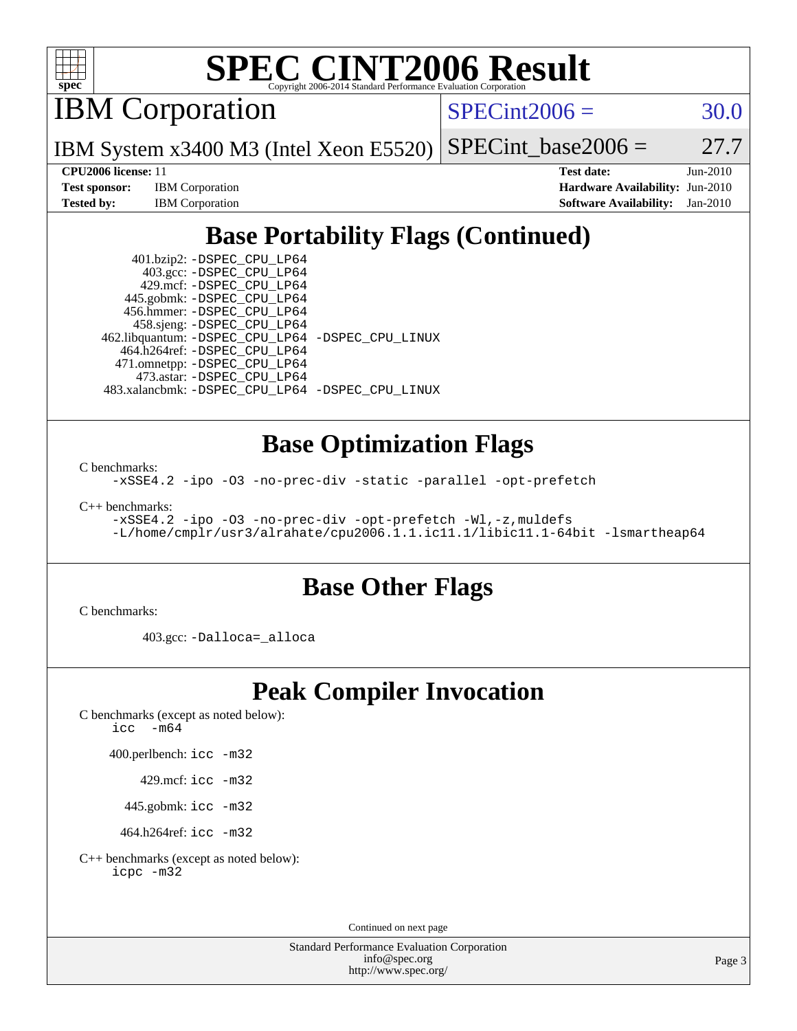

# **[SPEC CINT2006 Result](http://www.spec.org/auto/cpu2006/Docs/result-fields.html#SPECCINT2006Result)**

IBM Corporation

 $SPECint2006 = 30.0$  $SPECint2006 = 30.0$ 

IBM System x3400 M3 (Intel Xeon E5520)  $SPECTnt\_base2006 = 27.7$ 

**[CPU2006 license:](http://www.spec.org/auto/cpu2006/Docs/result-fields.html#CPU2006license)** 11 **[Test date:](http://www.spec.org/auto/cpu2006/Docs/result-fields.html#Testdate)** Jun-2010 **[Test sponsor:](http://www.spec.org/auto/cpu2006/Docs/result-fields.html#Testsponsor)** IBM Corporation **[Hardware Availability:](http://www.spec.org/auto/cpu2006/Docs/result-fields.html#HardwareAvailability)** Jun-2010 **[Tested by:](http://www.spec.org/auto/cpu2006/Docs/result-fields.html#Testedby)** IBM Corporation **[Software Availability:](http://www.spec.org/auto/cpu2006/Docs/result-fields.html#SoftwareAvailability)** Jan-2010

## **[Base Portability Flags \(Continued\)](http://www.spec.org/auto/cpu2006/Docs/result-fields.html#BasePortabilityFlags)**

 401.bzip2: [-DSPEC\\_CPU\\_LP64](http://www.spec.org/cpu2006/results/res2010q3/cpu2006-20100719-12509.flags.html#suite_basePORTABILITY401_bzip2_DSPEC_CPU_LP64) 403.gcc: [-DSPEC\\_CPU\\_LP64](http://www.spec.org/cpu2006/results/res2010q3/cpu2006-20100719-12509.flags.html#suite_basePORTABILITY403_gcc_DSPEC_CPU_LP64) 429.mcf: [-DSPEC\\_CPU\\_LP64](http://www.spec.org/cpu2006/results/res2010q3/cpu2006-20100719-12509.flags.html#suite_basePORTABILITY429_mcf_DSPEC_CPU_LP64) 445.gobmk: [-DSPEC\\_CPU\\_LP64](http://www.spec.org/cpu2006/results/res2010q3/cpu2006-20100719-12509.flags.html#suite_basePORTABILITY445_gobmk_DSPEC_CPU_LP64) 456.hmmer: [-DSPEC\\_CPU\\_LP64](http://www.spec.org/cpu2006/results/res2010q3/cpu2006-20100719-12509.flags.html#suite_basePORTABILITY456_hmmer_DSPEC_CPU_LP64) 458.sjeng: [-DSPEC\\_CPU\\_LP64](http://www.spec.org/cpu2006/results/res2010q3/cpu2006-20100719-12509.flags.html#suite_basePORTABILITY458_sjeng_DSPEC_CPU_LP64) 462.libquantum: [-DSPEC\\_CPU\\_LP64](http://www.spec.org/cpu2006/results/res2010q3/cpu2006-20100719-12509.flags.html#suite_basePORTABILITY462_libquantum_DSPEC_CPU_LP64) [-DSPEC\\_CPU\\_LINUX](http://www.spec.org/cpu2006/results/res2010q3/cpu2006-20100719-12509.flags.html#b462.libquantum_baseCPORTABILITY_DSPEC_CPU_LINUX) 464.h264ref: [-DSPEC\\_CPU\\_LP64](http://www.spec.org/cpu2006/results/res2010q3/cpu2006-20100719-12509.flags.html#suite_basePORTABILITY464_h264ref_DSPEC_CPU_LP64) 471.omnetpp: [-DSPEC\\_CPU\\_LP64](http://www.spec.org/cpu2006/results/res2010q3/cpu2006-20100719-12509.flags.html#suite_basePORTABILITY471_omnetpp_DSPEC_CPU_LP64) 473.astar: [-DSPEC\\_CPU\\_LP64](http://www.spec.org/cpu2006/results/res2010q3/cpu2006-20100719-12509.flags.html#suite_basePORTABILITY473_astar_DSPEC_CPU_LP64) 483.xalancbmk: [-DSPEC\\_CPU\\_LP64](http://www.spec.org/cpu2006/results/res2010q3/cpu2006-20100719-12509.flags.html#suite_basePORTABILITY483_xalancbmk_DSPEC_CPU_LP64) [-DSPEC\\_CPU\\_LINUX](http://www.spec.org/cpu2006/results/res2010q3/cpu2006-20100719-12509.flags.html#b483.xalancbmk_baseCXXPORTABILITY_DSPEC_CPU_LINUX)

### **[Base Optimization Flags](http://www.spec.org/auto/cpu2006/Docs/result-fields.html#BaseOptimizationFlags)**

[C benchmarks](http://www.spec.org/auto/cpu2006/Docs/result-fields.html#Cbenchmarks):

[-xSSE4.2](http://www.spec.org/cpu2006/results/res2010q3/cpu2006-20100719-12509.flags.html#user_CCbase_f-xSSE42_f91528193cf0b216347adb8b939d4107) [-ipo](http://www.spec.org/cpu2006/results/res2010q3/cpu2006-20100719-12509.flags.html#user_CCbase_f-ipo) [-O3](http://www.spec.org/cpu2006/results/res2010q3/cpu2006-20100719-12509.flags.html#user_CCbase_f-O3) [-no-prec-div](http://www.spec.org/cpu2006/results/res2010q3/cpu2006-20100719-12509.flags.html#user_CCbase_f-no-prec-div) [-static](http://www.spec.org/cpu2006/results/res2010q3/cpu2006-20100719-12509.flags.html#user_CCbase_f-static) [-parallel](http://www.spec.org/cpu2006/results/res2010q3/cpu2006-20100719-12509.flags.html#user_CCbase_f-parallel) [-opt-prefetch](http://www.spec.org/cpu2006/results/res2010q3/cpu2006-20100719-12509.flags.html#user_CCbase_f-opt-prefetch)

[C++ benchmarks:](http://www.spec.org/auto/cpu2006/Docs/result-fields.html#CXXbenchmarks)

[-xSSE4.2](http://www.spec.org/cpu2006/results/res2010q3/cpu2006-20100719-12509.flags.html#user_CXXbase_f-xSSE42_f91528193cf0b216347adb8b939d4107) [-ipo](http://www.spec.org/cpu2006/results/res2010q3/cpu2006-20100719-12509.flags.html#user_CXXbase_f-ipo) [-O3](http://www.spec.org/cpu2006/results/res2010q3/cpu2006-20100719-12509.flags.html#user_CXXbase_f-O3) [-no-prec-div](http://www.spec.org/cpu2006/results/res2010q3/cpu2006-20100719-12509.flags.html#user_CXXbase_f-no-prec-div) [-opt-prefetch](http://www.spec.org/cpu2006/results/res2010q3/cpu2006-20100719-12509.flags.html#user_CXXbase_f-opt-prefetch) [-Wl,-z,muldefs](http://www.spec.org/cpu2006/results/res2010q3/cpu2006-20100719-12509.flags.html#user_CXXbase_link_force_multiple1_74079c344b956b9658436fd1b6dd3a8a) [-L/home/cmplr/usr3/alrahate/cpu2006.1.1.ic11.1/libic11.1-64bit -lsmartheap64](http://www.spec.org/cpu2006/results/res2010q3/cpu2006-20100719-12509.flags.html#user_CXXbase_SmartHeap64_e2306cda84805d1ab360117a79ff779c)

### **[Base Other Flags](http://www.spec.org/auto/cpu2006/Docs/result-fields.html#BaseOtherFlags)**

[C benchmarks](http://www.spec.org/auto/cpu2006/Docs/result-fields.html#Cbenchmarks):

403.gcc: [-Dalloca=\\_alloca](http://www.spec.org/cpu2006/results/res2010q3/cpu2006-20100719-12509.flags.html#b403.gcc_baseEXTRA_CFLAGS_Dalloca_be3056838c12de2578596ca5467af7f3)

### **[Peak Compiler Invocation](http://www.spec.org/auto/cpu2006/Docs/result-fields.html#PeakCompilerInvocation)**

[C benchmarks \(except as noted below\)](http://www.spec.org/auto/cpu2006/Docs/result-fields.html#Cbenchmarksexceptasnotedbelow): [icc -m64](http://www.spec.org/cpu2006/results/res2010q3/cpu2006-20100719-12509.flags.html#user_CCpeak_intel_icc_64bit_f346026e86af2a669e726fe758c88044)

400.perlbench: [icc -m32](http://www.spec.org/cpu2006/results/res2010q3/cpu2006-20100719-12509.flags.html#user_peakCCLD400_perlbench_intel_icc_32bit_a6a621f8d50482236b970c6ac5f55f93)

429.mcf: [icc -m32](http://www.spec.org/cpu2006/results/res2010q3/cpu2006-20100719-12509.flags.html#user_peakCCLD429_mcf_intel_icc_32bit_a6a621f8d50482236b970c6ac5f55f93)

445.gobmk: [icc -m32](http://www.spec.org/cpu2006/results/res2010q3/cpu2006-20100719-12509.flags.html#user_peakCCLD445_gobmk_intel_icc_32bit_a6a621f8d50482236b970c6ac5f55f93)

464.h264ref: [icc -m32](http://www.spec.org/cpu2006/results/res2010q3/cpu2006-20100719-12509.flags.html#user_peakCCLD464_h264ref_intel_icc_32bit_a6a621f8d50482236b970c6ac5f55f93)

[C++ benchmarks \(except as noted below\):](http://www.spec.org/auto/cpu2006/Docs/result-fields.html#CXXbenchmarksexceptasnotedbelow) [icpc -m32](http://www.spec.org/cpu2006/results/res2010q3/cpu2006-20100719-12509.flags.html#user_CXXpeak_intel_icpc_32bit_4e5a5ef1a53fd332b3c49e69c3330699)

Continued on next page

Standard Performance Evaluation Corporation [info@spec.org](mailto:info@spec.org) <http://www.spec.org/>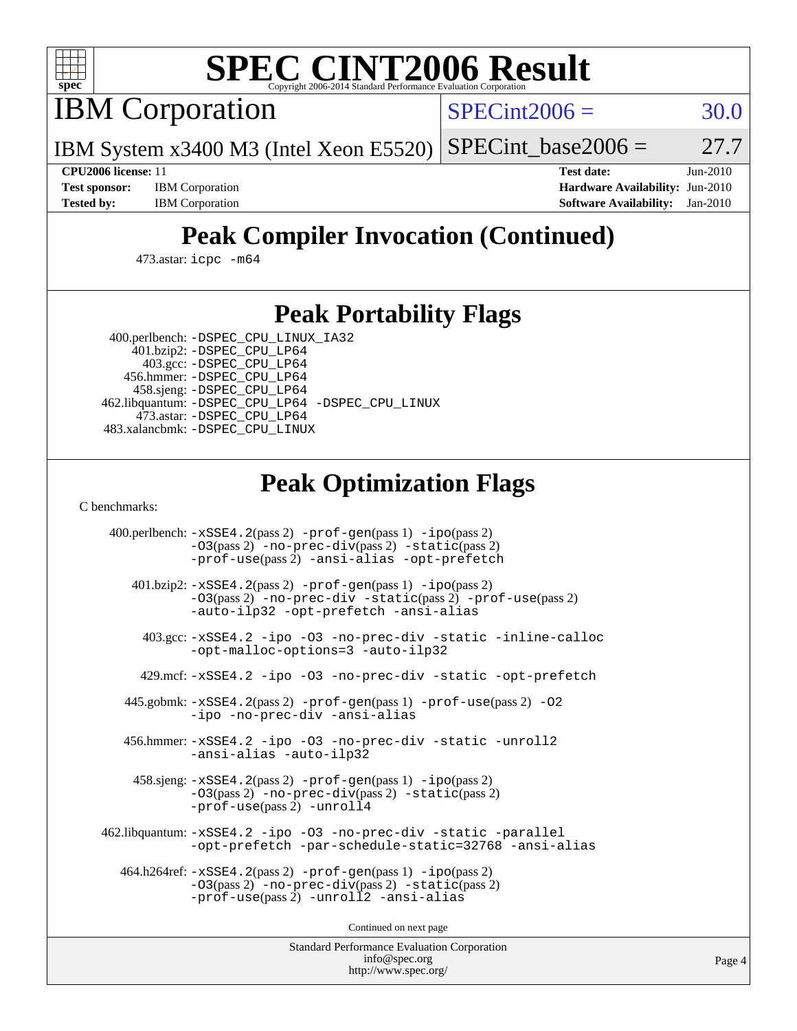

# **[SPEC CINT2006 Result](http://www.spec.org/auto/cpu2006/Docs/result-fields.html#SPECCINT2006Result)**

IBM Corporation

 $SPECint2006 = 30.0$  $SPECint2006 = 30.0$ 

IBM System x3400 M3 (Intel Xeon E5520)  $SPECTnt\_base2006 = 27.7$ 

**[CPU2006 license:](http://www.spec.org/auto/cpu2006/Docs/result-fields.html#CPU2006license)** 11 **[Test date:](http://www.spec.org/auto/cpu2006/Docs/result-fields.html#Testdate)** Jun-2010 **[Test sponsor:](http://www.spec.org/auto/cpu2006/Docs/result-fields.html#Testsponsor)** IBM Corporation **[Hardware Availability:](http://www.spec.org/auto/cpu2006/Docs/result-fields.html#HardwareAvailability)** Jun-2010 **[Tested by:](http://www.spec.org/auto/cpu2006/Docs/result-fields.html#Testedby)** IBM Corporation **[Software Availability:](http://www.spec.org/auto/cpu2006/Docs/result-fields.html#SoftwareAvailability)** Jan-2010

# **[Peak Compiler Invocation \(Continued\)](http://www.spec.org/auto/cpu2006/Docs/result-fields.html#PeakCompilerInvocation)**

473.astar: [icpc -m64](http://www.spec.org/cpu2006/results/res2010q3/cpu2006-20100719-12509.flags.html#user_peakCXXLD473_astar_intel_icpc_64bit_fc66a5337ce925472a5c54ad6a0de310)

### **[Peak Portability Flags](http://www.spec.org/auto/cpu2006/Docs/result-fields.html#PeakPortabilityFlags)**

 400.perlbench: [-DSPEC\\_CPU\\_LINUX\\_IA32](http://www.spec.org/cpu2006/results/res2010q3/cpu2006-20100719-12509.flags.html#b400.perlbench_peakCPORTABILITY_DSPEC_CPU_LINUX_IA32) 401.bzip2: [-DSPEC\\_CPU\\_LP64](http://www.spec.org/cpu2006/results/res2010q3/cpu2006-20100719-12509.flags.html#suite_peakPORTABILITY401_bzip2_DSPEC_CPU_LP64)

 403.gcc: [-DSPEC\\_CPU\\_LP64](http://www.spec.org/cpu2006/results/res2010q3/cpu2006-20100719-12509.flags.html#suite_peakPORTABILITY403_gcc_DSPEC_CPU_LP64) 456.hmmer: [-DSPEC\\_CPU\\_LP64](http://www.spec.org/cpu2006/results/res2010q3/cpu2006-20100719-12509.flags.html#suite_peakPORTABILITY456_hmmer_DSPEC_CPU_LP64) 458.sjeng: [-DSPEC\\_CPU\\_LP64](http://www.spec.org/cpu2006/results/res2010q3/cpu2006-20100719-12509.flags.html#suite_peakPORTABILITY458_sjeng_DSPEC_CPU_LP64) 462.libquantum: [-DSPEC\\_CPU\\_LP64](http://www.spec.org/cpu2006/results/res2010q3/cpu2006-20100719-12509.flags.html#suite_peakPORTABILITY462_libquantum_DSPEC_CPU_LP64) [-DSPEC\\_CPU\\_LINUX](http://www.spec.org/cpu2006/results/res2010q3/cpu2006-20100719-12509.flags.html#b462.libquantum_peakCPORTABILITY_DSPEC_CPU_LINUX) 473.astar: [-DSPEC\\_CPU\\_LP64](http://www.spec.org/cpu2006/results/res2010q3/cpu2006-20100719-12509.flags.html#suite_peakPORTABILITY473_astar_DSPEC_CPU_LP64) 483.xalancbmk: [-DSPEC\\_CPU\\_LINUX](http://www.spec.org/cpu2006/results/res2010q3/cpu2006-20100719-12509.flags.html#b483.xalancbmk_peakCXXPORTABILITY_DSPEC_CPU_LINUX)

## **[Peak Optimization Flags](http://www.spec.org/auto/cpu2006/Docs/result-fields.html#PeakOptimizationFlags)**

[C benchmarks](http://www.spec.org/auto/cpu2006/Docs/result-fields.html#Cbenchmarks):

 400.perlbench: [-xSSE4.2](http://www.spec.org/cpu2006/results/res2010q3/cpu2006-20100719-12509.flags.html#user_peakPASS2_CFLAGSPASS2_LDCFLAGS400_perlbench_f-xSSE42_f91528193cf0b216347adb8b939d4107)(pass 2) [-prof-gen](http://www.spec.org/cpu2006/results/res2010q3/cpu2006-20100719-12509.flags.html#user_peakPASS1_CFLAGSPASS1_LDCFLAGS400_perlbench_prof_gen_e43856698f6ca7b7e442dfd80e94a8fc)(pass 1) [-ipo](http://www.spec.org/cpu2006/results/res2010q3/cpu2006-20100719-12509.flags.html#user_peakPASS2_CFLAGSPASS2_LDCFLAGS400_perlbench_f-ipo)(pass 2) [-O3](http://www.spec.org/cpu2006/results/res2010q3/cpu2006-20100719-12509.flags.html#user_peakPASS2_CFLAGSPASS2_LDCFLAGS400_perlbench_f-O3)(pass 2) [-no-prec-div](http://www.spec.org/cpu2006/results/res2010q3/cpu2006-20100719-12509.flags.html#user_peakPASS2_CFLAGSPASS2_LDCFLAGS400_perlbench_f-no-prec-div)(pass 2) [-static](http://www.spec.org/cpu2006/results/res2010q3/cpu2006-20100719-12509.flags.html#user_peakPASS2_CFLAGSPASS2_LDCFLAGS400_perlbench_f-static)(pass 2) [-prof-use](http://www.spec.org/cpu2006/results/res2010q3/cpu2006-20100719-12509.flags.html#user_peakPASS2_CFLAGSPASS2_LDCFLAGS400_perlbench_prof_use_bccf7792157ff70d64e32fe3e1250b55)(pass 2) [-ansi-alias](http://www.spec.org/cpu2006/results/res2010q3/cpu2006-20100719-12509.flags.html#user_peakCOPTIMIZE400_perlbench_f-ansi-alias) [-opt-prefetch](http://www.spec.org/cpu2006/results/res2010q3/cpu2006-20100719-12509.flags.html#user_peakCOPTIMIZE400_perlbench_f-opt-prefetch) 401.bzip2: [-xSSE4.2](http://www.spec.org/cpu2006/results/res2010q3/cpu2006-20100719-12509.flags.html#user_peakPASS2_CFLAGSPASS2_LDCFLAGS401_bzip2_f-xSSE42_f91528193cf0b216347adb8b939d4107)(pass 2) [-prof-gen](http://www.spec.org/cpu2006/results/res2010q3/cpu2006-20100719-12509.flags.html#user_peakPASS1_CFLAGSPASS1_LDCFLAGS401_bzip2_prof_gen_e43856698f6ca7b7e442dfd80e94a8fc)(pass 1) [-ipo](http://www.spec.org/cpu2006/results/res2010q3/cpu2006-20100719-12509.flags.html#user_peakPASS2_CFLAGSPASS2_LDCFLAGS401_bzip2_f-ipo)(pass 2) [-O3](http://www.spec.org/cpu2006/results/res2010q3/cpu2006-20100719-12509.flags.html#user_peakPASS2_CFLAGSPASS2_LDCFLAGS401_bzip2_f-O3)(pass 2) [-no-prec-div](http://www.spec.org/cpu2006/results/res2010q3/cpu2006-20100719-12509.flags.html#user_peakCOPTIMIZEPASS2_CFLAGSPASS2_LDCFLAGS401_bzip2_f-no-prec-div) [-static](http://www.spec.org/cpu2006/results/res2010q3/cpu2006-20100719-12509.flags.html#user_peakPASS2_CFLAGSPASS2_LDCFLAGS401_bzip2_f-static)(pass 2) [-prof-use](http://www.spec.org/cpu2006/results/res2010q3/cpu2006-20100719-12509.flags.html#user_peakPASS2_CFLAGSPASS2_LDCFLAGS401_bzip2_prof_use_bccf7792157ff70d64e32fe3e1250b55)(pass 2) [-auto-ilp32](http://www.spec.org/cpu2006/results/res2010q3/cpu2006-20100719-12509.flags.html#user_peakCOPTIMIZE401_bzip2_f-auto-ilp32) [-opt-prefetch](http://www.spec.org/cpu2006/results/res2010q3/cpu2006-20100719-12509.flags.html#user_peakCOPTIMIZE401_bzip2_f-opt-prefetch) [-ansi-alias](http://www.spec.org/cpu2006/results/res2010q3/cpu2006-20100719-12509.flags.html#user_peakCOPTIMIZE401_bzip2_f-ansi-alias) 403.gcc: [-xSSE4.2](http://www.spec.org/cpu2006/results/res2010q3/cpu2006-20100719-12509.flags.html#user_peakCOPTIMIZE403_gcc_f-xSSE42_f91528193cf0b216347adb8b939d4107) [-ipo](http://www.spec.org/cpu2006/results/res2010q3/cpu2006-20100719-12509.flags.html#user_peakCOPTIMIZE403_gcc_f-ipo) [-O3](http://www.spec.org/cpu2006/results/res2010q3/cpu2006-20100719-12509.flags.html#user_peakCOPTIMIZE403_gcc_f-O3) [-no-prec-div](http://www.spec.org/cpu2006/results/res2010q3/cpu2006-20100719-12509.flags.html#user_peakCOPTIMIZE403_gcc_f-no-prec-div) [-static](http://www.spec.org/cpu2006/results/res2010q3/cpu2006-20100719-12509.flags.html#user_peakCOPTIMIZE403_gcc_f-static) [-inline-calloc](http://www.spec.org/cpu2006/results/res2010q3/cpu2006-20100719-12509.flags.html#user_peakCOPTIMIZE403_gcc_f-inline-calloc) [-opt-malloc-options=3](http://www.spec.org/cpu2006/results/res2010q3/cpu2006-20100719-12509.flags.html#user_peakCOPTIMIZE403_gcc_f-opt-malloc-options_13ab9b803cf986b4ee62f0a5998c2238) [-auto-ilp32](http://www.spec.org/cpu2006/results/res2010q3/cpu2006-20100719-12509.flags.html#user_peakCOPTIMIZE403_gcc_f-auto-ilp32) 429.mcf: [-xSSE4.2](http://www.spec.org/cpu2006/results/res2010q3/cpu2006-20100719-12509.flags.html#user_peakCOPTIMIZE429_mcf_f-xSSE42_f91528193cf0b216347adb8b939d4107) [-ipo](http://www.spec.org/cpu2006/results/res2010q3/cpu2006-20100719-12509.flags.html#user_peakCOPTIMIZE429_mcf_f-ipo) [-O3](http://www.spec.org/cpu2006/results/res2010q3/cpu2006-20100719-12509.flags.html#user_peakCOPTIMIZE429_mcf_f-O3) [-no-prec-div](http://www.spec.org/cpu2006/results/res2010q3/cpu2006-20100719-12509.flags.html#user_peakCOPTIMIZE429_mcf_f-no-prec-div) [-static](http://www.spec.org/cpu2006/results/res2010q3/cpu2006-20100719-12509.flags.html#user_peakCOPTIMIZE429_mcf_f-static) [-opt-prefetch](http://www.spec.org/cpu2006/results/res2010q3/cpu2006-20100719-12509.flags.html#user_peakCOPTIMIZE429_mcf_f-opt-prefetch) 445.gobmk: [-xSSE4.2](http://www.spec.org/cpu2006/results/res2010q3/cpu2006-20100719-12509.flags.html#user_peakPASS2_CFLAGSPASS2_LDCFLAGS445_gobmk_f-xSSE42_f91528193cf0b216347adb8b939d4107)(pass 2) [-prof-gen](http://www.spec.org/cpu2006/results/res2010q3/cpu2006-20100719-12509.flags.html#user_peakPASS1_CFLAGSPASS1_LDCFLAGS445_gobmk_prof_gen_e43856698f6ca7b7e442dfd80e94a8fc)(pass 1) [-prof-use](http://www.spec.org/cpu2006/results/res2010q3/cpu2006-20100719-12509.flags.html#user_peakPASS2_CFLAGSPASS2_LDCFLAGS445_gobmk_prof_use_bccf7792157ff70d64e32fe3e1250b55)(pass 2) [-O2](http://www.spec.org/cpu2006/results/res2010q3/cpu2006-20100719-12509.flags.html#user_peakCOPTIMIZE445_gobmk_f-O2) [-ipo](http://www.spec.org/cpu2006/results/res2010q3/cpu2006-20100719-12509.flags.html#user_peakCOPTIMIZE445_gobmk_f-ipo) [-no-prec-div](http://www.spec.org/cpu2006/results/res2010q3/cpu2006-20100719-12509.flags.html#user_peakCOPTIMIZE445_gobmk_f-no-prec-div) [-ansi-alias](http://www.spec.org/cpu2006/results/res2010q3/cpu2006-20100719-12509.flags.html#user_peakCOPTIMIZE445_gobmk_f-ansi-alias) 456.hmmer: [-xSSE4.2](http://www.spec.org/cpu2006/results/res2010q3/cpu2006-20100719-12509.flags.html#user_peakCOPTIMIZE456_hmmer_f-xSSE42_f91528193cf0b216347adb8b939d4107) [-ipo](http://www.spec.org/cpu2006/results/res2010q3/cpu2006-20100719-12509.flags.html#user_peakCOPTIMIZE456_hmmer_f-ipo) [-O3](http://www.spec.org/cpu2006/results/res2010q3/cpu2006-20100719-12509.flags.html#user_peakCOPTIMIZE456_hmmer_f-O3) [-no-prec-div](http://www.spec.org/cpu2006/results/res2010q3/cpu2006-20100719-12509.flags.html#user_peakCOPTIMIZE456_hmmer_f-no-prec-div) [-static](http://www.spec.org/cpu2006/results/res2010q3/cpu2006-20100719-12509.flags.html#user_peakCOPTIMIZE456_hmmer_f-static) [-unroll2](http://www.spec.org/cpu2006/results/res2010q3/cpu2006-20100719-12509.flags.html#user_peakCOPTIMIZE456_hmmer_f-unroll_784dae83bebfb236979b41d2422d7ec2) [-ansi-alias](http://www.spec.org/cpu2006/results/res2010q3/cpu2006-20100719-12509.flags.html#user_peakCOPTIMIZE456_hmmer_f-ansi-alias) [-auto-ilp32](http://www.spec.org/cpu2006/results/res2010q3/cpu2006-20100719-12509.flags.html#user_peakCOPTIMIZE456_hmmer_f-auto-ilp32) 458.sjeng: [-xSSE4.2](http://www.spec.org/cpu2006/results/res2010q3/cpu2006-20100719-12509.flags.html#user_peakPASS2_CFLAGSPASS2_LDCFLAGS458_sjeng_f-xSSE42_f91528193cf0b216347adb8b939d4107)(pass 2) [-prof-gen](http://www.spec.org/cpu2006/results/res2010q3/cpu2006-20100719-12509.flags.html#user_peakPASS1_CFLAGSPASS1_LDCFLAGS458_sjeng_prof_gen_e43856698f6ca7b7e442dfd80e94a8fc)(pass 1) [-ipo](http://www.spec.org/cpu2006/results/res2010q3/cpu2006-20100719-12509.flags.html#user_peakPASS2_CFLAGSPASS2_LDCFLAGS458_sjeng_f-ipo)(pass 2) [-O3](http://www.spec.org/cpu2006/results/res2010q3/cpu2006-20100719-12509.flags.html#user_peakPASS2_CFLAGSPASS2_LDCFLAGS458_sjeng_f-O3)(pass 2) [-no-prec-div](http://www.spec.org/cpu2006/results/res2010q3/cpu2006-20100719-12509.flags.html#user_peakPASS2_CFLAGSPASS2_LDCFLAGS458_sjeng_f-no-prec-div)(pass 2) [-static](http://www.spec.org/cpu2006/results/res2010q3/cpu2006-20100719-12509.flags.html#user_peakPASS2_CFLAGSPASS2_LDCFLAGS458_sjeng_f-static)(pass 2) [-prof-use](http://www.spec.org/cpu2006/results/res2010q3/cpu2006-20100719-12509.flags.html#user_peakPASS2_CFLAGSPASS2_LDCFLAGS458_sjeng_prof_use_bccf7792157ff70d64e32fe3e1250b55)(pass 2) [-unroll4](http://www.spec.org/cpu2006/results/res2010q3/cpu2006-20100719-12509.flags.html#user_peakCOPTIMIZE458_sjeng_f-unroll_4e5e4ed65b7fd20bdcd365bec371b81f) 462.libquantum: [-xSSE4.2](http://www.spec.org/cpu2006/results/res2010q3/cpu2006-20100719-12509.flags.html#user_peakCOPTIMIZE462_libquantum_f-xSSE42_f91528193cf0b216347adb8b939d4107) [-ipo](http://www.spec.org/cpu2006/results/res2010q3/cpu2006-20100719-12509.flags.html#user_peakCOPTIMIZE462_libquantum_f-ipo) [-O3](http://www.spec.org/cpu2006/results/res2010q3/cpu2006-20100719-12509.flags.html#user_peakCOPTIMIZE462_libquantum_f-O3) [-no-prec-div](http://www.spec.org/cpu2006/results/res2010q3/cpu2006-20100719-12509.flags.html#user_peakCOPTIMIZE462_libquantum_f-no-prec-div) [-static](http://www.spec.org/cpu2006/results/res2010q3/cpu2006-20100719-12509.flags.html#user_peakCOPTIMIZE462_libquantum_f-static) [-parallel](http://www.spec.org/cpu2006/results/res2010q3/cpu2006-20100719-12509.flags.html#user_peakCOPTIMIZE462_libquantum_f-parallel) [-opt-prefetch](http://www.spec.org/cpu2006/results/res2010q3/cpu2006-20100719-12509.flags.html#user_peakCOPTIMIZE462_libquantum_f-opt-prefetch) [-par-schedule-static=32768](http://www.spec.org/cpu2006/results/res2010q3/cpu2006-20100719-12509.flags.html#user_peakCOPTIMIZE462_libquantum_f-par-schedule_9386bcd99ba64e99ee01d1aafefddd14) [-ansi-alias](http://www.spec.org/cpu2006/results/res2010q3/cpu2006-20100719-12509.flags.html#user_peakCOPTIMIZE462_libquantum_f-ansi-alias) 464.h264ref: [-xSSE4.2](http://www.spec.org/cpu2006/results/res2010q3/cpu2006-20100719-12509.flags.html#user_peakPASS2_CFLAGSPASS2_LDCFLAGS464_h264ref_f-xSSE42_f91528193cf0b216347adb8b939d4107)(pass 2) [-prof-gen](http://www.spec.org/cpu2006/results/res2010q3/cpu2006-20100719-12509.flags.html#user_peakPASS1_CFLAGSPASS1_LDCFLAGS464_h264ref_prof_gen_e43856698f6ca7b7e442dfd80e94a8fc)(pass 1) [-ipo](http://www.spec.org/cpu2006/results/res2010q3/cpu2006-20100719-12509.flags.html#user_peakPASS2_CFLAGSPASS2_LDCFLAGS464_h264ref_f-ipo)(pass 2) [-O3](http://www.spec.org/cpu2006/results/res2010q3/cpu2006-20100719-12509.flags.html#user_peakPASS2_CFLAGSPASS2_LDCFLAGS464_h264ref_f-O3)(pass 2) [-no-prec-div](http://www.spec.org/cpu2006/results/res2010q3/cpu2006-20100719-12509.flags.html#user_peakPASS2_CFLAGSPASS2_LDCFLAGS464_h264ref_f-no-prec-div)(pass 2) [-static](http://www.spec.org/cpu2006/results/res2010q3/cpu2006-20100719-12509.flags.html#user_peakPASS2_CFLAGSPASS2_LDCFLAGS464_h264ref_f-static)(pass 2) [-prof-use](http://www.spec.org/cpu2006/results/res2010q3/cpu2006-20100719-12509.flags.html#user_peakPASS2_CFLAGSPASS2_LDCFLAGS464_h264ref_prof_use_bccf7792157ff70d64e32fe3e1250b55)(pass 2) [-unroll2](http://www.spec.org/cpu2006/results/res2010q3/cpu2006-20100719-12509.flags.html#user_peakCOPTIMIZE464_h264ref_f-unroll_784dae83bebfb236979b41d2422d7ec2) [-ansi-alias](http://www.spec.org/cpu2006/results/res2010q3/cpu2006-20100719-12509.flags.html#user_peakCOPTIMIZE464_h264ref_f-ansi-alias)

Continued on next page

Standard Performance Evaluation Corporation [info@spec.org](mailto:info@spec.org) <http://www.spec.org/>